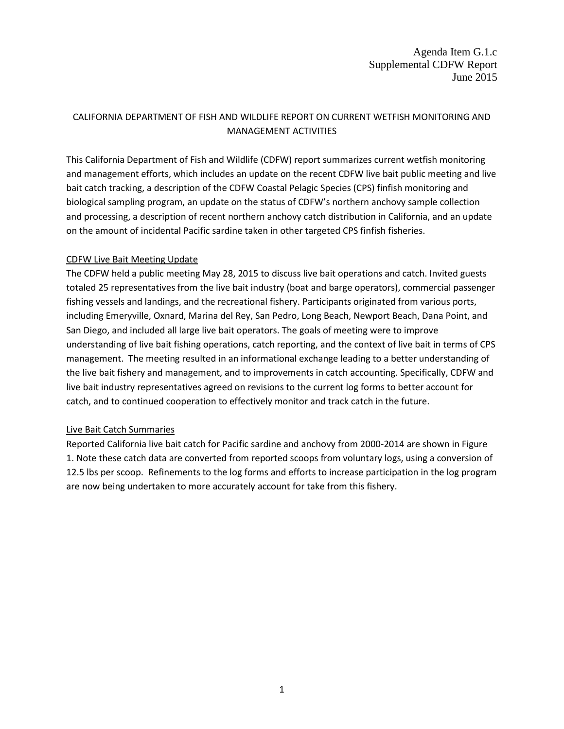# CALIFORNIA DEPARTMENT OF FISH AND WILDLIFE REPORT ON CURRENT WETFISH MONITORING AND MANAGEMENT ACTIVITIES

This California Department of Fish and Wildlife (CDFW) report summarizes current wetfish monitoring and management efforts, which includes an update on the recent CDFW live bait public meeting and live bait catch tracking, a description of the CDFW Coastal Pelagic Species (CPS) finfish monitoring and biological sampling program, an update on the status of CDFW's northern anchovy sample collection and processing, a description of recent northern anchovy catch distribution in California, and an update on the amount of incidental Pacific sardine taken in other targeted CPS finfish fisheries.

#### CDFW Live Bait Meeting Update

The CDFW held a public meeting May 28, 2015 to discuss live bait operations and catch. Invited guests totaled 25 representatives from the live bait industry (boat and barge operators), commercial passenger fishing vessels and landings, and the recreational fishery. Participants originated from various ports, including Emeryville, Oxnard, Marina del Rey, San Pedro, Long Beach, Newport Beach, Dana Point, and San Diego, and included all large live bait operators. The goals of meeting were to improve understanding of live bait fishing operations, catch reporting, and the context of live bait in terms of CPS management. The meeting resulted in an informational exchange leading to a better understanding of the live bait fishery and management, and to improvements in catch accounting. Specifically, CDFW and live bait industry representatives agreed on revisions to the current log forms to better account for catch, and to continued cooperation to effectively monitor and track catch in the future.

### Live Bait Catch Summaries

Reported California live bait catch for Pacific sardine and anchovy from 2000-2014 are shown in Figure 1. Note these catch data are converted from reported scoops from voluntary logs, using a conversion of 12.5 lbs per scoop. Refinements to the log forms and efforts to increase participation in the log program are now being undertaken to more accurately account for take from this fishery.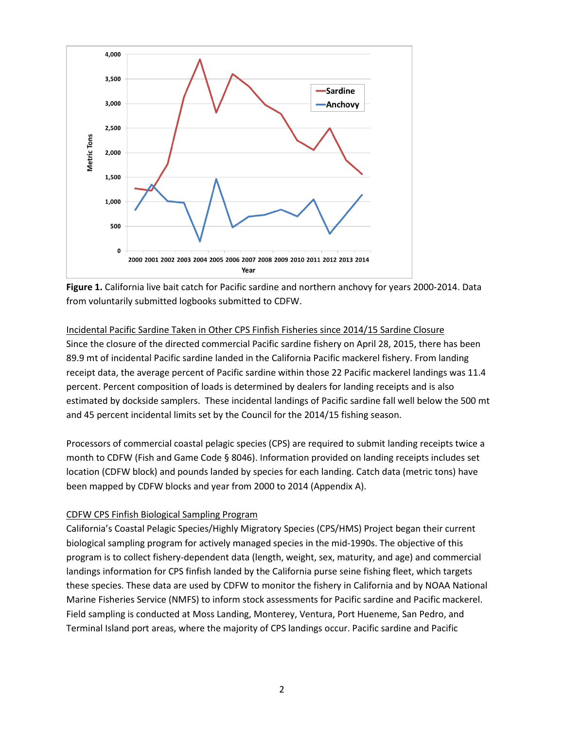



# Incidental Pacific Sardine Taken in Other CPS Finfish Fisheries since 2014/15 Sardine Closure Since the closure of the directed commercial Pacific sardine fishery on April 28, 2015, there has been 89.9 mt of incidental Pacific sardine landed in the California Pacific mackerel fishery. From landing receipt data, the average percent of Pacific sardine within those 22 Pacific mackerel landings was 11.4 percent. Percent composition of loads is determined by dealers for landing receipts and is also estimated by dockside samplers. These incidental landings of Pacific sardine fall well below the 500 mt and 45 percent incidental limits set by the Council for the 2014/15 fishing season.

Processors of commercial coastal pelagic species (CPS) are required to submit landing receipts twice a month to CDFW (Fish and Game Code § 8046). Information provided on landing receipts includes set location (CDFW block) and pounds landed by species for each landing. Catch data (metric tons) have been mapped by CDFW blocks and year from 2000 to 2014 (Appendix A).

### CDFW CPS Finfish Biological Sampling Program

California's Coastal Pelagic Species/Highly Migratory Species (CPS/HMS) Project began their current biological sampling program for actively managed species in the mid-1990s. The objective of this program is to collect fishery-dependent data (length, weight, sex, maturity, and age) and commercial landings information for CPS finfish landed by the California purse seine fishing fleet, which targets these species. These data are used by CDFW to monitor the fishery in California and by NOAA National Marine Fisheries Service (NMFS) to inform stock assessments for Pacific sardine and Pacific mackerel. Field sampling is conducted at Moss Landing, Monterey, Ventura, Port Hueneme, San Pedro, and Terminal Island port areas, where the majority of CPS landings occur. Pacific sardine and Pacific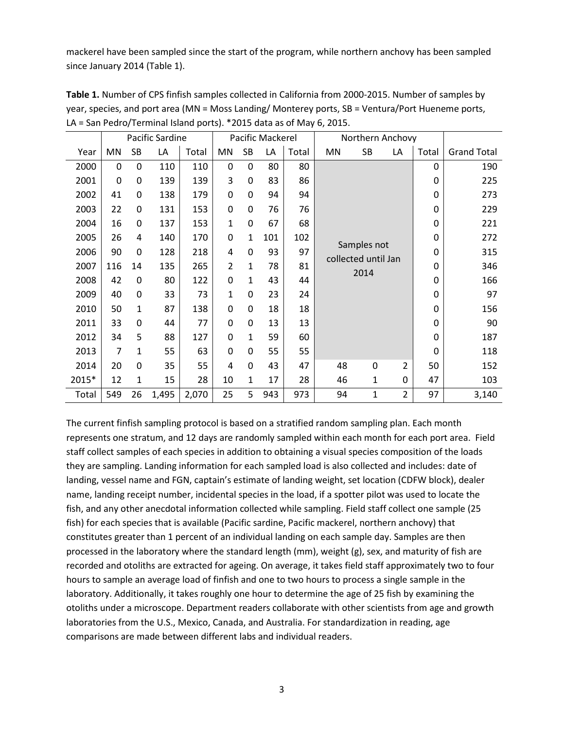mackerel have been sampled since the start of the program, while northern anchovy has been sampled since January 2014 (Table 1).

|       |     |              | Pacific Sardine |       |              |                | Pacific Mackerel |       | Northern Anchovy                           |             |                |       |                    |
|-------|-----|--------------|-----------------|-------|--------------|----------------|------------------|-------|--------------------------------------------|-------------|----------------|-------|--------------------|
| Year  | MN  | SB           | LA              | Total | MN           | SB             | LA               | Total | MN                                         | SB          | LA             | Total | <b>Grand Total</b> |
| 2000  | 0   | $\mathbf 0$  | 110             | 110   | $\mathbf 0$  | $\mathbf 0$    | 80               | 80    |                                            |             |                | 0     | 190                |
| 2001  | 0   | 0            | 139             | 139   | 3            | $\mathbf 0$    | 83               | 86    |                                            |             |                | 0     | 225                |
| 2002  | 41  | 0            | 138             | 179   | $\mathbf 0$  | $\mathbf 0$    | 94               | 94    |                                            |             |                | 0     | 273                |
| 2003  | 22  | 0            | 131             | 153   | $\mathbf 0$  | $\mathbf 0$    | 76               | 76    |                                            |             | 0              | 229   |                    |
| 2004  | 16  | 0            | 137             | 153   | 1            | $\mathbf 0$    | 67               | 68    | Samples not<br>collected until Jan<br>2014 |             |                | 0     | 221                |
| 2005  | 26  | 4            | 140             | 170   | $\mathbf 0$  | $\mathbf{1}$   | 101              | 102   |                                            |             |                | 0     | 272                |
| 2006  | 90  | 0            | 128             | 218   | 4            | $\mathbf 0$    | 93               | 97    |                                            |             |                | 0     | 315                |
| 2007  | 116 | 14           | 135             | 265   | 2            | $\mathbf{1}$   | 78               | 81    |                                            |             |                | 0     | 346                |
| 2008  | 42  | $\mathbf 0$  | 80              | 122   | $\mathbf 0$  | $\mathbf{1}$   | 43               | 44    |                                            |             |                | 0     | 166                |
| 2009  | 40  | 0            | 33              | 73    | $\mathbf{1}$ | $\overline{0}$ | 23               | 24    |                                            |             |                | 0     | 97                 |
| 2010  | 50  | $\mathbf{1}$ | 87              | 138   | $\mathbf 0$  | $\mathbf 0$    | 18               | 18    |                                            |             |                | 0     | 156                |
| 2011  | 33  | 0            | 44              | 77    | $\mathbf 0$  | $\mathbf 0$    | 13               | 13    |                                            |             |                | 0     | 90                 |
| 2012  | 34  | 5            | 88              | 127   | $\mathbf 0$  | $\mathbf{1}$   | 59               | 60    |                                            |             |                | 0     | 187                |
| 2013  | 7   | $\mathbf{1}$ | 55              | 63    | $\mathbf 0$  | $\mathbf 0$    | 55               | 55    |                                            |             |                | 0     | 118                |
| 2014  | 20  | 0            | 35              | 55    | 4            | $\overline{0}$ | 43               | 47    | 48                                         | $\mathbf 0$ | 2              | 50    | 152                |
| 2015* | 12  | 1            | 15              | 28    | 10           | $\mathbf{1}$   | 17               | 28    | 46                                         | 1           | 0              | 47    | 103                |
| Total | 549 | 26           | 1,495           | 2,070 | 25           | 5              | 943              | 973   | 94                                         | 1           | $\overline{2}$ | 97    | 3,140              |

**Table 1.** Number of CPS finfish samples collected in California from 2000-2015. Number of samples by year, species, and port area (MN = Moss Landing/ Monterey ports, SB = Ventura/Port Hueneme ports, LA = San Pedro/Terminal Island ports). \*2015 data as of May 6, 2015.

The current finfish sampling protocol is based on a stratified random sampling plan. Each month represents one stratum, and 12 days are randomly sampled within each month for each port area. Field staff collect samples of each species in addition to obtaining a visual species composition of the loads they are sampling. Landing information for each sampled load is also collected and includes: date of landing, vessel name and FGN, captain's estimate of landing weight, set location (CDFW block), dealer name, landing receipt number, incidental species in the load, if a spotter pilot was used to locate the fish, and any other anecdotal information collected while sampling. Field staff collect one sample (25 fish) for each species that is available (Pacific sardine, Pacific mackerel, northern anchovy) that constitutes greater than 1 percent of an individual landing on each sample day. Samples are then processed in the laboratory where the standard length (mm), weight (g), sex, and maturity of fish are recorded and otoliths are extracted for ageing. On average, it takes field staff approximately two to four hours to sample an average load of finfish and one to two hours to process a single sample in the laboratory. Additionally, it takes roughly one hour to determine the age of 25 fish by examining the otoliths under a microscope. Department readers collaborate with other scientists from age and growth laboratories from the U.S., Mexico, Canada, and Australia. For standardization in reading, age comparisons are made between different labs and individual readers.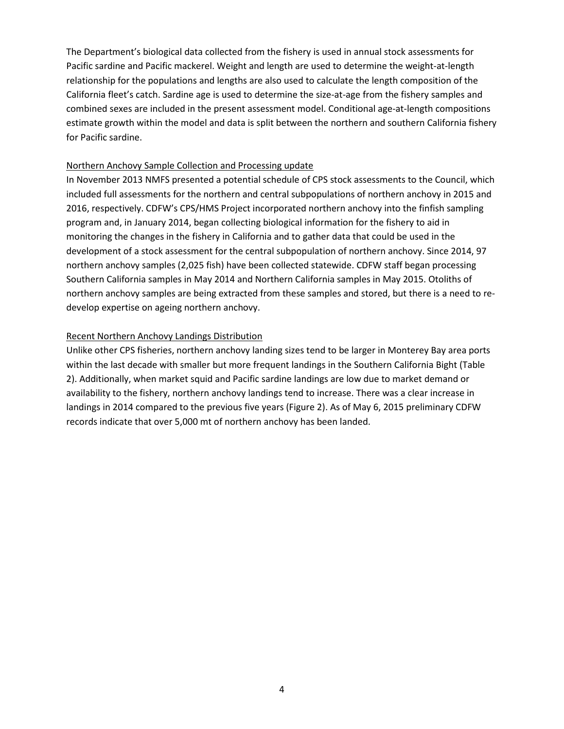The Department's biological data collected from the fishery is used in annual stock assessments for Pacific sardine and Pacific mackerel. Weight and length are used to determine the weight-at-length relationship for the populations and lengths are also used to calculate the length composition of the California fleet's catch. Sardine age is used to determine the size-at-age from the fishery samples and combined sexes are included in the present assessment model. Conditional age-at-length compositions estimate growth within the model and data is split between the northern and southern California fishery for Pacific sardine.

#### Northern Anchovy Sample Collection and Processing update

In November 2013 NMFS presented a potential schedule of CPS stock assessments to the Council, which included full assessments for the northern and central subpopulations of northern anchovy in 2015 and 2016, respectively. CDFW's CPS/HMS Project incorporated northern anchovy into the finfish sampling program and, in January 2014, began collecting biological information for the fishery to aid in monitoring the changes in the fishery in California and to gather data that could be used in the development of a stock assessment for the central subpopulation of northern anchovy. Since 2014, 97 northern anchovy samples (2,025 fish) have been collected statewide. CDFW staff began processing Southern California samples in May 2014 and Northern California samples in May 2015. Otoliths of northern anchovy samples are being extracted from these samples and stored, but there is a need to redevelop expertise on ageing northern anchovy.

#### Recent Northern Anchovy Landings Distribution

Unlike other CPS fisheries, northern anchovy landing sizes tend to be larger in Monterey Bay area ports within the last decade with smaller but more frequent landings in the Southern California Bight (Table 2). Additionally, when market squid and Pacific sardine landings are low due to market demand or availability to the fishery, northern anchovy landings tend to increase. There was a clear increase in landings in 2014 compared to the previous five years (Figure 2). As of May 6, 2015 preliminary CDFW records indicate that over 5,000 mt of northern anchovy has been landed.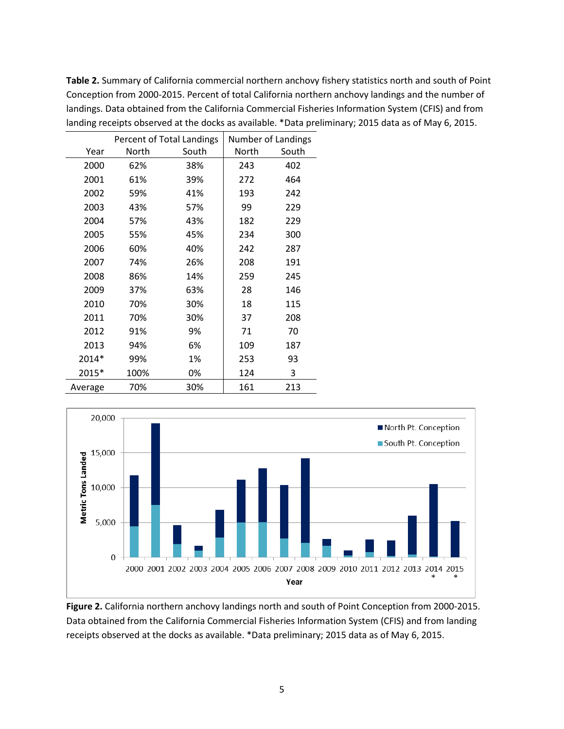|         |       | Percent of Total Landings | Number of Landings |       |  |  |
|---------|-------|---------------------------|--------------------|-------|--|--|
| Year    | North | South                     | North              | South |  |  |
| 2000    | 62%   | 38%                       | 243                | 402   |  |  |
| 2001    | 61%   | 39%                       | 272                | 464   |  |  |
| 2002    | 59%   | 41%                       | 193                | 242   |  |  |
| 2003    | 43%   | 57%                       | 99                 | 229   |  |  |
| 2004    | 57%   | 43%                       | 182                | 229   |  |  |
| 2005    | 55%   | 45%                       | 234                | 300   |  |  |
| 2006    | 60%   | 40%                       | 242                | 287   |  |  |
| 2007    | 74%   | 26%                       | 208                | 191   |  |  |
| 2008    | 86%   | 14%                       | 259                | 245   |  |  |
| 2009    | 37%   | 63%                       | 28                 | 146   |  |  |
| 2010    | 70%   | 30%                       | 18                 | 115   |  |  |
| 2011    | 70%   | 30%                       | 37                 | 208   |  |  |
| 2012    | 91%   | 9%                        | 71                 | 70    |  |  |
| 2013    | 94%   | 6%                        | 109                | 187   |  |  |
| 2014*   | 99%   | 1%                        | 253                | 93    |  |  |
| 2015*   | 100%  | 0%                        | 124                | 3     |  |  |
| Average | 70%   | 30%                       | 161                | 213   |  |  |

**Table 2.** Summary of California commercial northern anchovy fishery statistics north and south of Point Conception from 2000-2015. Percent of total California northern anchovy landings and the number of landings. Data obtained from the California Commercial Fisheries Information System (CFIS) and from landing receipts observed at the docks as available. \*Data preliminary; 2015 data as of May 6, 2015.



**Figure 2.** California northern anchovy landings north and south of Point Conception from 2000-2015. Data obtained from the California Commercial Fisheries Information System (CFIS) and from landing receipts observed at the docks as available. \*Data preliminary; 2015 data as of May 6, 2015.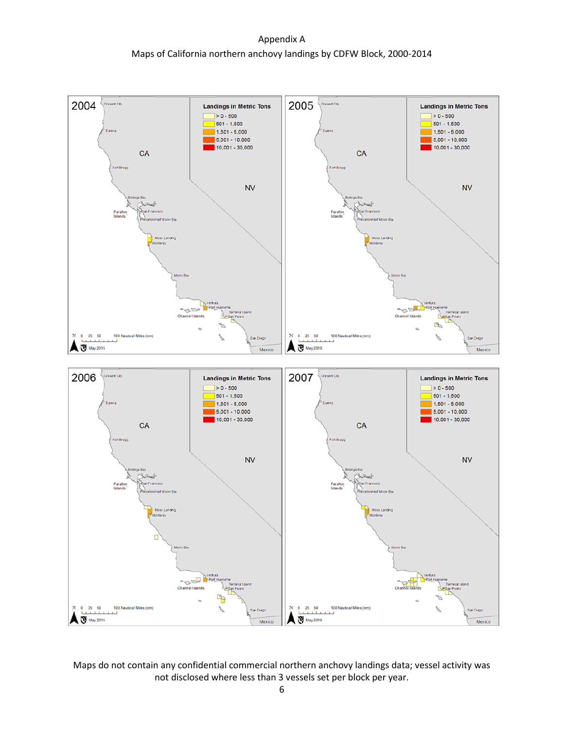### Appendix A Maps of California northern anchovy landings by CDFW Block, 2000-2014



Maps do not contain any confidential commercial northern anchovy landings data; vessel activity was not disclosed where less than 3 vessels set per block per year.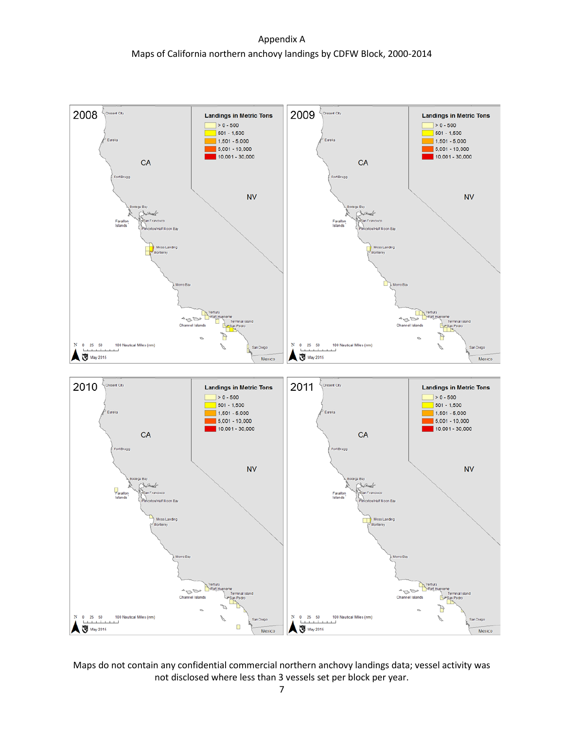# Appendix A Maps of California northern anchovy landings by CDFW Block, 2000-2014



Maps do not contain any confidential commercial northern anchovy landings data; vessel activity was not disclosed where less than 3 vessels set per block per year.